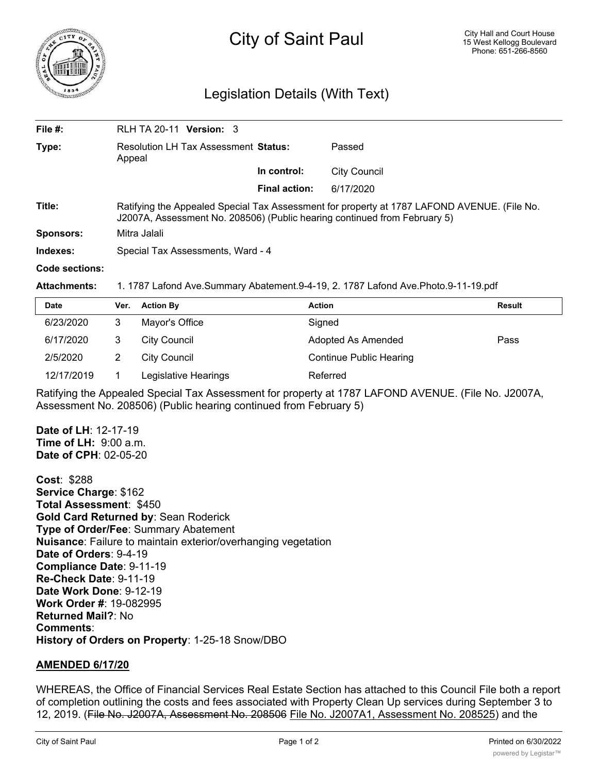

## Legislation Details (With Text)

| File $#$ :          | <b>RLH TA 20-11 Version: 3</b>                                                                                                                                           |                      |                     |  |
|---------------------|--------------------------------------------------------------------------------------------------------------------------------------------------------------------------|----------------------|---------------------|--|
| Type:               | Resolution LH Tax Assessment Status:<br>Appeal                                                                                                                           |                      | Passed              |  |
|                     |                                                                                                                                                                          | In control:          | <b>City Council</b> |  |
|                     |                                                                                                                                                                          | <b>Final action:</b> | 6/17/2020           |  |
| Title:              | Ratifying the Appealed Special Tax Assessment for property at 1787 LAFOND AVENUE. (File No.<br>J2007A, Assessment No. 208506) (Public hearing continued from February 5) |                      |                     |  |
| <b>Sponsors:</b>    | Mitra Jalali                                                                                                                                                             |                      |                     |  |
| Indexes:            | Special Tax Assessments, Ward - 4                                                                                                                                        |                      |                     |  |
| Code sections:      |                                                                                                                                                                          |                      |                     |  |
| <b>Attachments:</b> | 1. 1787 Lafond Ave.Summary Abatement.9-4-19, 2. 1787 Lafond Ave.Photo.9-11-19.pdf                                                                                        |                      |                     |  |

| <b>Date</b> | Ver. | <b>Action By</b>     | <b>Action</b>                  | <b>Result</b> |
|-------------|------|----------------------|--------------------------------|---------------|
| 6/23/2020   | 3    | Mayor's Office       | Signed                         |               |
| 6/17/2020   | 3    | City Council         | Adopted As Amended             | Pass          |
| 2/5/2020    |      | City Council         | <b>Continue Public Hearing</b> |               |
| 12/17/2019  |      | Legislative Hearings | Referred                       |               |

Ratifying the Appealed Special Tax Assessment for property at 1787 LAFOND AVENUE. (File No. J2007A, Assessment No. 208506) (Public hearing continued from February 5)

**Date of LH**: 12-17-19 **Time of LH:** 9:00 a.m. **Date of CPH**: 02-05-20

**Cost**: \$288 **Service Charge**: \$162 **Total Assessment**: \$450 **Gold Card Returned by**: Sean Roderick **Type of Order/Fee**: Summary Abatement **Nuisance**: Failure to maintain exterior/overhanging vegetation **Date of Orders**: 9-4-19 **Compliance Date**: 9-11-19 **Re-Check Date**: 9-11-19 **Date Work Done**: 9-12-19 **Work Order #**: 19-082995 **Returned Mail?**: No **Comments**: **History of Orders on Property**: 1-25-18 Snow/DBO

## **AMENDED 6/17/20**

WHEREAS, the Office of Financial Services Real Estate Section has attached to this Council File both a report of completion outlining the costs and fees associated with Property Clean Up services during September 3 to 12, 2019. (File No. J2007A, Assessment No. 208506 File No. J2007A1, Assessment No. 208525) and the